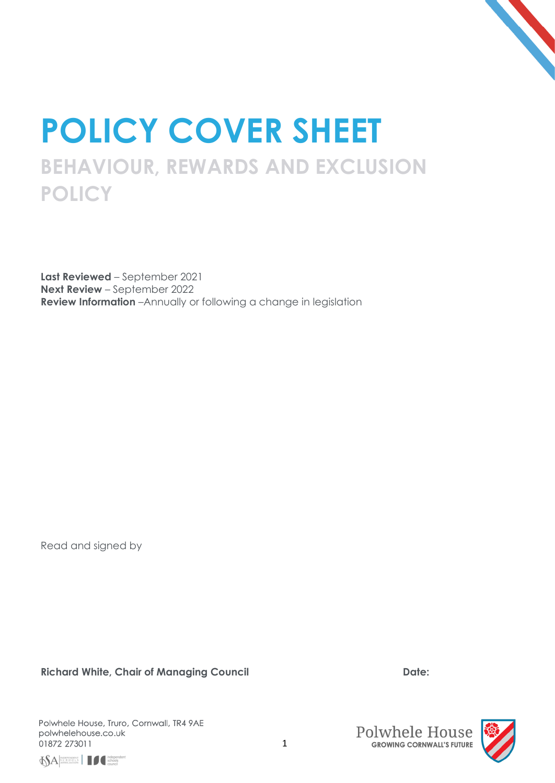

# **POLICY COVER SHEET BEHAVIOUR, REWARDS AND EXCLUSION POLICY**

**Last Reviewed** – September 2021 **Next Review** – September 2022 **Review Information** –Annually or following a change in legislation

Read and signed by

**Richard White, Chair of Managing Council Date:**





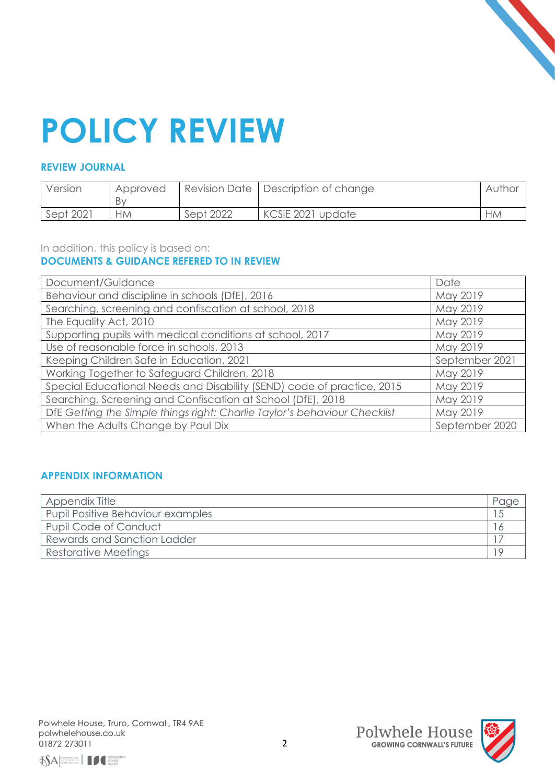

# **POLICY REVIEW**

# **REVIEW JOURNAL**

| Version   | Approved<br>Bv |           | Revision Date   Description of change | Author    |
|-----------|----------------|-----------|---------------------------------------|-----------|
| Sept 2021 | НM             | Sept 2022 | KCSiE 2021 update                     | <b>HM</b> |

### In addition, this policy is based on: **DOCUMENTS & GUIDANCE REFERED TO IN REVIEW**

| Document/Guidance                                                         | Date           |
|---------------------------------------------------------------------------|----------------|
| Behaviour and discipline in schools (DfE), 2016                           | May 2019       |
| Searching, screening and confiscation at school, 2018                     | May 2019       |
| The Equality Act, 2010                                                    | May 2019       |
| Supporting pupils with medical conditions at school, 2017                 | May 2019       |
| Use of reasonable force in schools, 2013                                  | May 2019       |
| Keeping Children Safe in Education, 2021                                  | September 2021 |
| Working Together to Safeguard Children, 2018                              | May 2019       |
| Special Educational Needs and Disability (SEND) code of practice, 2015    | May 2019       |
| Searching, Screening and Confiscation at School (DfE), 2018               | May 2019       |
| DfE Getting the Simple things right: Charlie Taylor's behaviour Checklist | May 2019       |
| When the Adults Change by Paul Dix                                        | September 2020 |

# **APPENDIX INFORMATION**

| Appendix Title                    |  |
|-----------------------------------|--|
| Pupil Positive Behaviour examples |  |
| Pupil Code of Conduct             |  |
| Rewards and Sanction Ladder       |  |
| Restorative Meetings              |  |





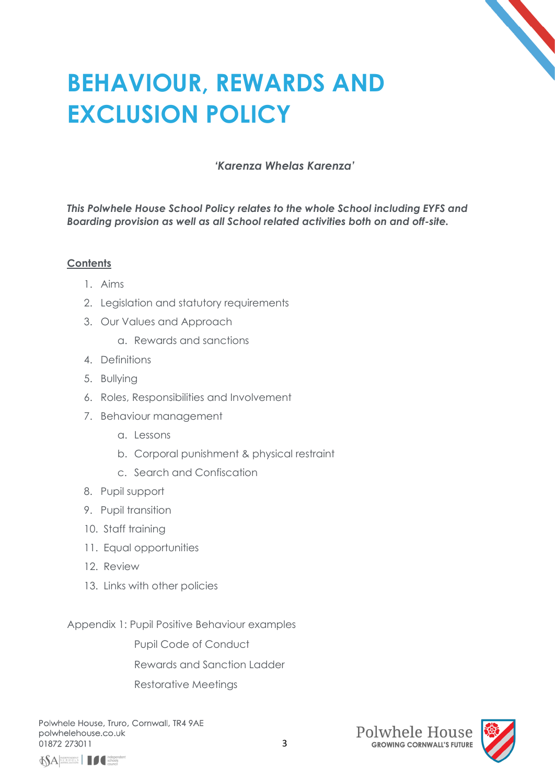# **BEHAVIOUR, REWARDS AND EXCLUSION POLICY**

# *'Karenza Whelas Karenza'*

*This Polwhele House School Policy relates to the whole School including EYFS and Boarding provision as well as all School related activities both on and off-site.*

# **Contents**

- 1. Aims
- 2. Legislation and statutory requirements
- 3. Our Values and Approach
	- a. Rewards and sanctions
- 4. Definitions
- 5. Bullying
- 6. Roles, Responsibilities and Involvement
- 7. Behaviour management
	- a. Lessons
	- b. Corporal punishment & physical restraint
	- c. Search and Confiscation
- 8. Pupil support
- 9. Pupil transition
- 10. Staff training
- 11. Equal opportunities
- 12. Review
- 13. Links with other policies

Appendix 1: Pupil Positive Behaviour examples

Pupil Code of Conduct

Rewards and Sanction Ladder

Restorative Meetings





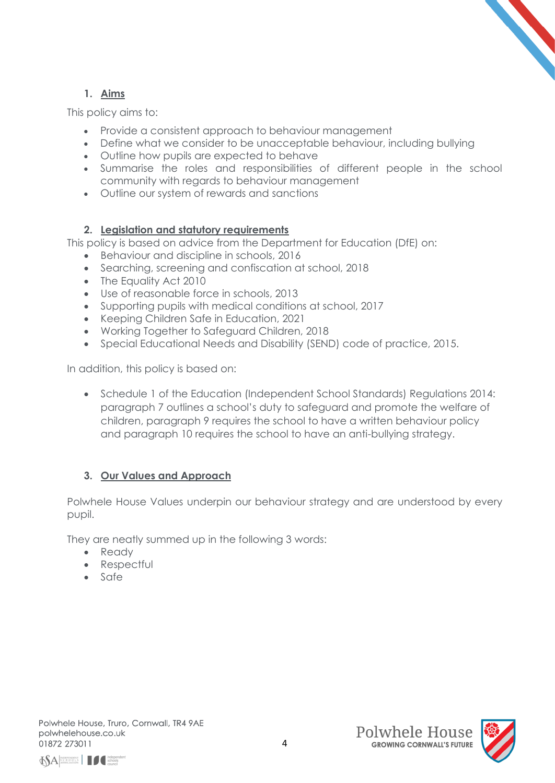# **1. Aims**

This policy aims to:

- Provide a consistent approach to behaviour management
- Define what we consider to be unacceptable behaviour, including bullying
- Outline how pupils are expected to behave
- Summarise the roles and responsibilities of different people in the school community with regards to behaviour management
- Outline our system of rewards and sanctions

# **2. Legislation and statutory requirements**

This policy is based on advice from the Department for Education (DfE) on:

- Behaviour and discipline in schools, 2016
- Searching, screening and confiscation at school, 2018
- The Equality Act 2010
- Use of reasonable force in schools, 2013
- Supporting pupils with medical conditions at school, 2017
- Keeping Children Safe in Education, 2021
- Working Together to Safeguard Children, 2018
- Special Educational Needs and Disability (SEND) code of practice, 2015.

In addition, this policy is based on:

• Schedule 1 of the Education (Independent School Standards) Regulations 2014: paragraph 7 outlines a school's duty to safeguard and promote the welfare of children, paragraph 9 requires the school to have a written behaviour policy and paragraph 10 requires the school to have an anti-bullying strategy.

# **3. Our Values and Approach**

Polwhele House Values underpin our behaviour strategy and are understood by every pupil.

They are neatly summed up in the following 3 words:

- Ready
- Respectful
- Safe





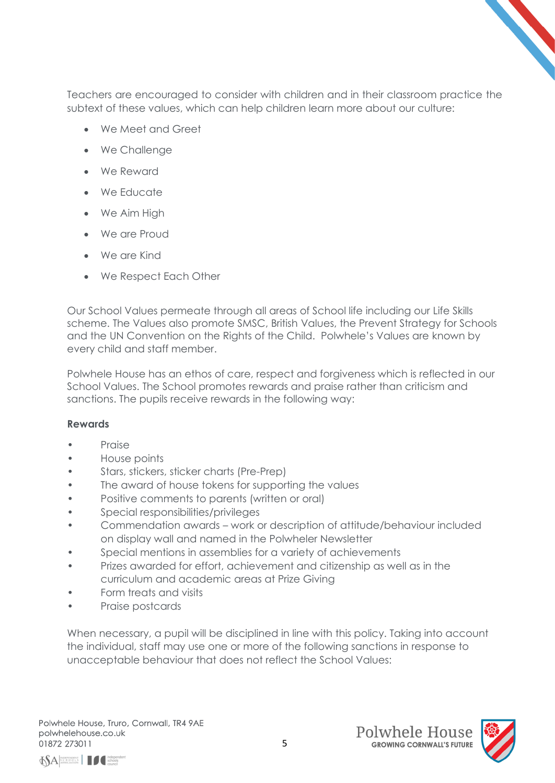

- We Meet and Greet
- We Challenge
- We Reward
- We Educate
- We Aim High
- We are Proud
- We are Kind
- We Respect Each Other

Our School Values permeate through all areas of School life including our Life Skills scheme. The Values also promote SMSC, British Values, the Prevent Strategy for Schools and the UN Convention on the Rights of the Child. Polwhele's Values are known by every child and staff member.

Polwhele House has an ethos of care, respect and forgiveness which is reflected in our School Values. The School promotes rewards and praise rather than criticism and sanctions. The pupils receive rewards in the following way:

### **Rewards**

- Praise
- House points
- Stars, stickers, sticker charts (Pre-Prep)
- The award of house tokens for supporting the values
- Positive comments to parents (written or oral)
- Special responsibilities/privileges
- Commendation awards work or description of attitude/behaviour included on display wall and named in the Polwheler Newsletter
- Special mentions in assemblies for a variety of achievements
- Prizes awarded for effort, achievement and citizenship as well as in the curriculum and academic areas at Prize Giving
- Form treats and visits
- Praise postcards

When necessary, a pupil will be disciplined in line with this policy. Taking into account the individual, staff may use one or more of the following sanctions in response to unacceptable behaviour that does not reflect the School Values:





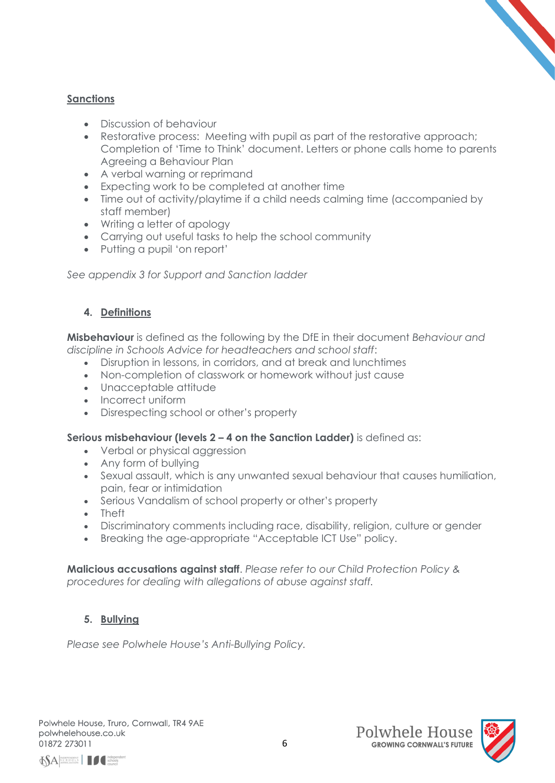## **Sanctions**

- Discussion of behaviour
- Restorative process: Meeting with pupil as part of the restorative approach; Completion of 'Time to Think' document. Letters or phone calls home to parents Agreeing a Behaviour Plan
- A verbal warning or reprimand
- Expecting work to be completed at another time
- Time out of activity/playtime if a child needs calming time (accompanied by staff member)
- Writing a letter of apology
- Carrying out useful tasks to help the school community
- Putting a pupil 'on report'

*See appendix 3 for Support and Sanction ladder*

# **4. Definitions**

**Misbehaviour** is defined as the following by the DfE in their document *Behaviour and discipline in Schools Advice for headteachers and school staff*:

- Disruption in lessons, in corridors, and at break and lunchtimes
- Non-completion of classwork or homework without just cause
- Unacceptable attitude
- Incorrect uniform
- Disrespecting school or other's property

### **Serious misbehaviour (levels 2 – 4 on the Sanction Ladder)** is defined as:

- Verbal or physical aggression
- Any form of bullying
- Sexual assault, which is any unwanted sexual behaviour that causes humiliation, pain, fear or intimidation
- Serious Vandalism of school property or other's property
- Theft
- Discriminatory comments including race, disability, religion, culture or gender
- Breaking the age-appropriate "Acceptable ICT Use" policy.

**Malicious accusations against staff**. *Please refer to our Child Protection Policy & procedures for dealing with allegations of abuse against staff.*

# **5. Bullying**

*Please see Polwhele House's Anti-Bullying Policy.*



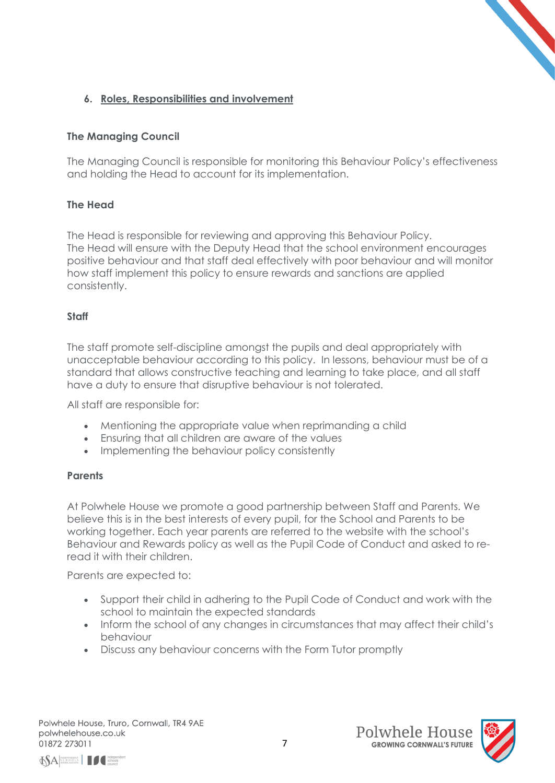# **6. Roles, Responsibilities and involvement**

# **The Managing Council**

The Managing Council is responsible for monitoring this Behaviour Policy's effectiveness and holding the Head to account for its implementation.

# **The Head**

The Head is responsible for reviewing and approving this Behaviour Policy. The Head will ensure with the Deputy Head that the school environment encourages positive behaviour and that staff deal effectively with poor behaviour and will monitor how staff implement this policy to ensure rewards and sanctions are applied consistently.

### **Staff**

The staff promote self-discipline amongst the pupils and deal appropriately with unacceptable behaviour according to this policy. In lessons, behaviour must be of a standard that allows constructive teaching and learning to take place, and all staff have a duty to ensure that disruptive behaviour is not tolerated.

All staff are responsible for:

- Mentioning the appropriate value when reprimanding a child
- Ensuring that all children are aware of the values
- Implementing the behaviour policy consistently

#### **Parents**

At Polwhele House we promote a good partnership between Staff and Parents. We believe this is in the best interests of every pupil, for the School and Parents to be working together. Each year parents are referred to the website with the school's Behaviour and Rewards policy as well as the Pupil Code of Conduct and asked to reread it with their children.

Parents are expected to:

- Support their child in adhering to the Pupil Code of Conduct and work with the school to maintain the expected standards
- Inform the school of any changes in circumstances that may affect their child's behaviour
- Discuss any behaviour concerns with the Form Tutor promptly





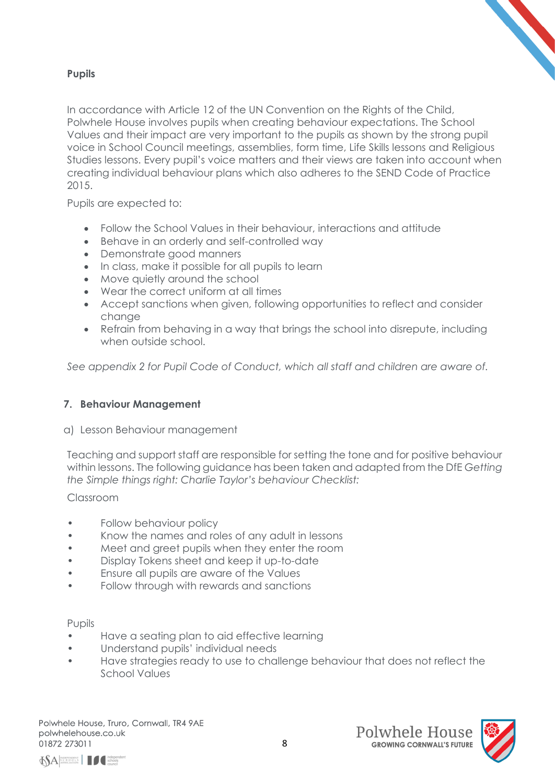## **Pupils**

In accordance with Article 12 of the UN Convention on the Rights of the Child, Polwhele House involves pupils when creating behaviour expectations. The School Values and their impact are very important to the pupils as shown by the strong pupil voice in School Council meetings, assemblies, form time, Life Skills lessons and Religious Studies lessons. Every pupil's voice matters and their views are taken into account when creating individual behaviour plans which also adheres to the SEND Code of Practice 2015.

Pupils are expected to:

- Follow the School Values in their behaviour, interactions and attitude
- Behave in an orderly and self-controlled way
- Demonstrate good manners
- In class, make it possible for all pupils to learn
- Move quietly around the school
- Wear the correct uniform at all times
- Accept sanctions when given, following opportunities to reflect and consider change
- Refrain from behaving in a way that brings the school into disrepute, including when outside school.

*See appendix 2 for Pupil Code of Conduct, which all staff and children are aware of.*

### **7. Behaviour Management**

### a) Lesson Behaviour management

Teaching and support staff are responsible for setting the tone and for positive behaviour within lessons. The following guidance has been taken and adapted from the DfE *Getting the Simple things right: Charlie Taylor's behaviour Checklist:*

### Classroom

- Follow behaviour policy
- Know the names and roles of any adult in lessons
- Meet and greet pupils when they enter the room
- Display Tokens sheet and keep it up-to-date
- Ensure all pupils are aware of the Values
- Follow through with rewards and sanctions

#### Pupils

- Have a seating plan to aid effective learning
- Understand pupils' individual needs
- Have strategies ready to use to challenge behaviour that does not reflect the School Values





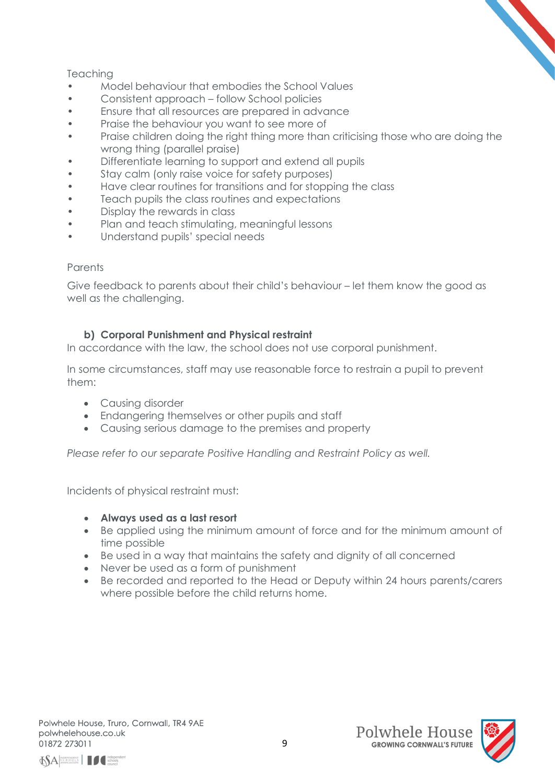# **Teaching**

- Model behaviour that embodies the School Values
- Consistent approach follow School policies
- Ensure that all resources are prepared in advance
- Praise the behaviour you want to see more of
- Praise children doing the right thing more than criticising those who are doing the wrong thing (parallel praise)
- Differentiate learning to support and extend all pupils
- Stay calm (only raise voice for safety purposes)
- Have clear routines for transitions and for stopping the class
- Teach pupils the class routines and expectations
- Display the rewards in class
- Plan and teach stimulating, meaningful lessons
- Understand pupils' special needs

### **Parents**

Give feedback to parents about their child's behaviour – let them know the good as well as the challenging.

# **b) Corporal Punishment and Physical restraint**

In accordance with the law, the school does not use corporal punishment.

In some circumstances, staff may use reasonable force to restrain a pupil to prevent them:

- Causing disorder
- Endangering themselves or other pupils and staff
- Causing serious damage to the premises and property

*Please refer to our separate Positive Handling and Restraint Policy as well.*

Incidents of physical restraint must:

- **Always used as a last resort**
- Be applied using the minimum amount of force and for the minimum amount of time possible
- Be used in a way that maintains the safety and dignity of all concerned
- Never be used as a form of punishment
- Be recorded and reported to the Head or Deputy within 24 hours parents/carers where possible before the child returns home.





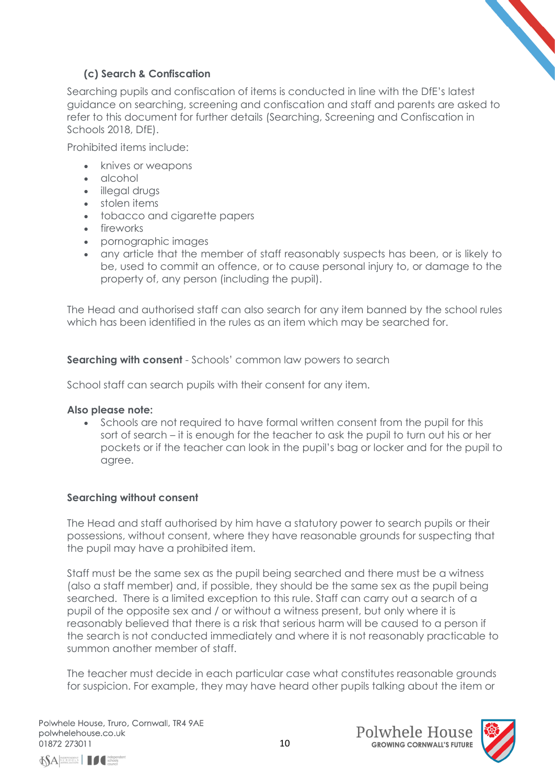# **(c) Search & Confiscation**

Searching pupils and confiscation of items is conducted in line with the DfE's [latest](https://www.gov.uk/government/publications/searching-screening-and-confiscation)  [guidance on searching, screening and confiscation](https://www.gov.uk/government/publications/searching-screening-and-confiscation) and staff and parents are asked to refer to this document for further details (Searching, Screening and Confiscation in Schools 2018, DfE).

Prohibited items include:

- knives or weapons
- alcohol
- illegal drugs
- stolen items
- tobacco and cigarette papers
- fireworks
- pornographic images
- any article that the member of staff reasonably suspects has been, or is likely to be, used to commit an offence, or to cause personal injury to, or damage to the property of, any person (including the pupil).

The Head and authorised staff can also search for any item banned by the school rules which has been identified in the rules as an item which may be searched for.

**Searching with consent** - Schools' common law powers to search

School staff can search pupils with their consent for any item.

### **Also please note:**

• Schools are not required to have formal written consent from the pupil for this sort of search – it is enough for the teacher to ask the pupil to turn out his or her pockets or if the teacher can look in the pupil's bag or locker and for the pupil to agree.

### **Searching without consent**

The Head and staff authorised by him have a statutory power to search pupils or their possessions, without consent, where they have reasonable grounds for suspecting that the pupil may have a prohibited item.

Staff must be the same sex as the pupil being searched and there must be a witness (also a staff member) and, if possible, they should be the same sex as the pupil being searched. There is a limited exception to this rule. Staff can carry out a search of a pupil of the opposite sex and / or without a witness present, but only where it is reasonably believed that there is a risk that serious harm will be caused to a person if the search is not conducted immediately and where it is not reasonably practicable to summon another member of staff.

The teacher must decide in each particular case what constitutes reasonable grounds for suspicion. For example, they may have heard other pupils talking about the item or

 $\left|\bigotimes_{\text{SCHOOLATION}}\right|$ 



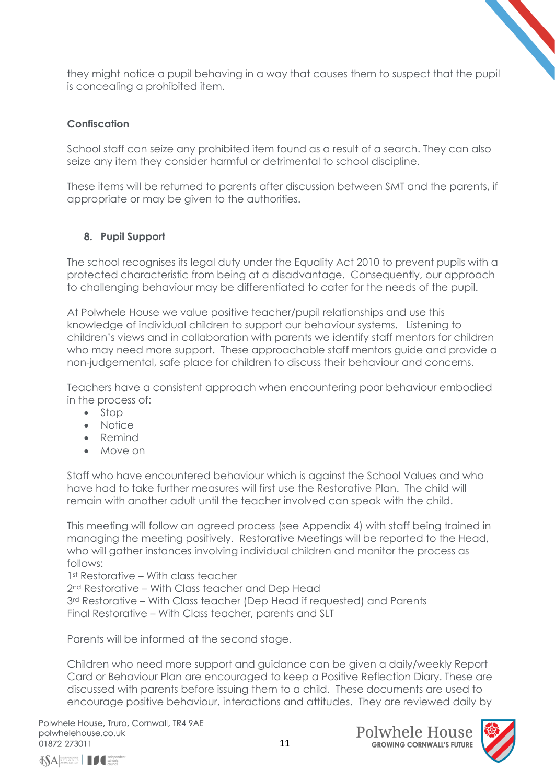they might notice a pupil behaving in a way that causes them to suspect that the pupil is concealing a prohibited item.

# **Confiscation**

School staff can seize any prohibited item found as a result of a search. They can also seize any item they consider harmful or detrimental to school discipline.

These items will be returned to parents after discussion between SMT and the parents, if appropriate or may be given to the authorities.

### **8. Pupil Support**

The school recognises its legal duty under the Equality Act 2010 to prevent pupils with a protected characteristic from being at a disadvantage. Consequently, our approach to challenging behaviour may be differentiated to cater for the needs of the pupil.

At Polwhele House we value positive teacher/pupil relationships and use this knowledge of individual children to support our behaviour systems. Listening to children's views and in collaboration with parents we identify staff mentors for children who may need more support. These approachable staff mentors guide and provide a non-judgemental, safe place for children to discuss their behaviour and concerns.

Teachers have a consistent approach when encountering poor behaviour embodied in the process of:

- Stop
- Notice
- Remind
- Move on

Staff who have encountered behaviour which is against the School Values and who have had to take further measures will first use the Restorative Plan. The child will remain with another adult until the teacher involved can speak with the child.

This meeting will follow an agreed process (see Appendix 4) with staff being trained in managing the meeting positively. Restorative Meetings will be reported to the Head, who will gather instances involving individual children and monitor the process as follows:

1st Restorative – With class teacher

2<sup>nd</sup> Restorative – With Class teacher and Dep Head

3<sup>rd</sup> Restorative – With Class teacher (Dep Head if requested) and Parents Final Restorative – With Class teacher, parents and SLT

Parents will be informed at the second stage.

Children who need more support and guidance can be given a daily/weekly Report Card or Behaviour Plan are encouraged to keep a Positive Reflection Diary. These are discussed with parents before issuing them to a child. These documents are used to encourage positive behaviour, interactions and attitudes. They are reviewed daily by

 $\left|\bigotimes_{\text{SCHOOLATION}}\right|$ 



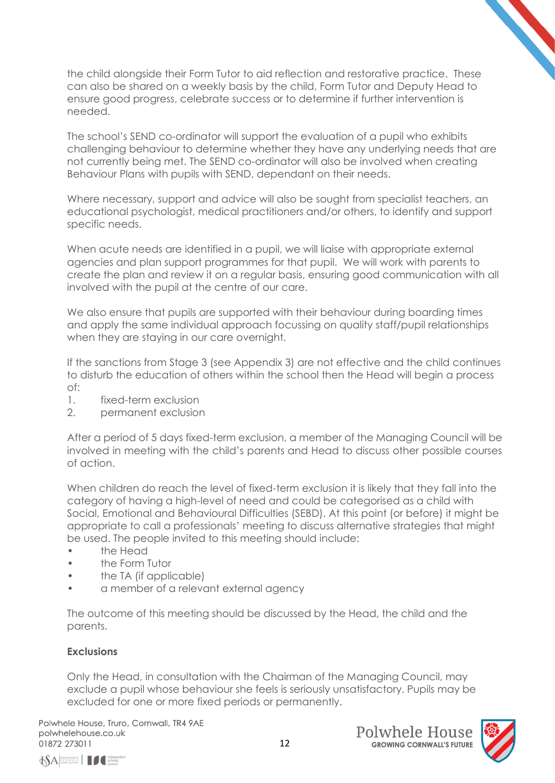the child alongside their Form Tutor to aid reflection and restorative practice. These can also be shared on a weekly basis by the child, Form Tutor and Deputy Head to ensure good progress, celebrate success or to determine if further intervention is needed.

The school's SEND co-ordinator will support the evaluation of a pupil who exhibits challenging behaviour to determine whether they have any underlying needs that are not currently being met. The SEND co-ordinator will also be involved when creating Behaviour Plans with pupils with SEND, dependant on their needs.

Where necessary, support and advice will also be sought from specialist teachers, an educational psychologist, medical practitioners and/or others, to identify and support specific needs.

When acute needs are identified in a pupil, we will liaise with appropriate external agencies and plan support programmes for that pupil. We will work with parents to create the plan and review it on a regular basis, ensuring good communication with all involved with the pupil at the centre of our care.

We also ensure that pupils are supported with their behaviour during boarding times and apply the same individual approach focussing on quality staff/pupil relationships when they are staying in our care overnight.

If the sanctions from Stage 3 (see Appendix 3) are not effective and the child continues to disturb the education of others within the school then the Head will begin a process of:

- 1. fixed-term exclusion
- 2. permanent exclusion

After a period of 5 days fixed-term exclusion, a member of the Managing Council will be involved in meeting with the child's parents and Head to discuss other possible courses of action.

When children do reach the level of fixed-term exclusion it is likely that they fall into the category of having a high-level of need and could be categorised as a child with Social, Emotional and Behavioural Difficulties (SEBD). At this point (or before) it might be appropriate to call a professionals' meeting to discuss alternative strategies that might be used. The people invited to this meeting should include:

- the Head
- the Form Tutor
- the TA (if applicable)
- a member of a relevant external agency

The outcome of this meeting should be discussed by the Head, the child and the parents.

### **Exclusions**

Only the Head, in consultation with the Chairman of the Managing Council, may exclude a pupil whose behaviour she feels is seriously unsatisfactory. Pupils may be excluded for one or more fixed periods or permanently.



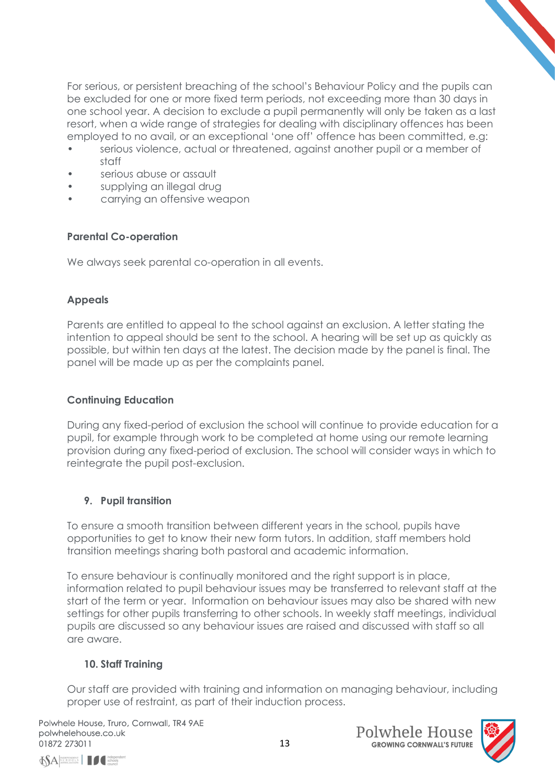For serious, or persistent breaching of the school's Behaviour Policy and the pupils can be excluded for one or more fixed term periods, not exceeding more than 30 days in one school year. A decision to exclude a pupil permanently will only be taken as a last resort, when a wide range of strategies for dealing with disciplinary offences has been employed to no avail, or an exceptional 'one off' offence has been committed, e.g:

- serious violence, actual or threatened, against another pupil or a member of staff
- serious abuse or assault
- supplying an illegal drug
- carrying an offensive weapon

# **Parental Co-operation**

We always seek parental co-operation in all events.

# **Appeals**

Parents are entitled to appeal to the school against an exclusion. A letter stating the intention to appeal should be sent to the school. A hearing will be set up as quickly as possible, but within ten days at the latest. The decision made by the panel is final. The panel will be made up as per the complaints panel.

# **Continuing Education**

During any fixed-period of exclusion the school will continue to provide education for a pupil, for example through work to be completed at home using our remote learning provision during any fixed-period of exclusion. The school will consider ways in which to reintegrate the pupil post-exclusion.

# **9. Pupil transition**

To ensure a smooth transition between different years in the school, pupils have opportunities to get to know their new form tutors. In addition, staff members hold transition meetings sharing both pastoral and academic information.

To ensure behaviour is continually monitored and the right support is in place, information related to pupil behaviour issues may be transferred to relevant staff at the start of the term or year. Information on behaviour issues may also be shared with new settings for other pupils transferring to other schools. In weekly staff meetings, individual pupils are discussed so any behaviour issues are raised and discussed with staff so all are aware.

# **10. Staff Training**

Our staff are provided with training and information on managing behaviour, including proper use of restraint, as part of their induction process.





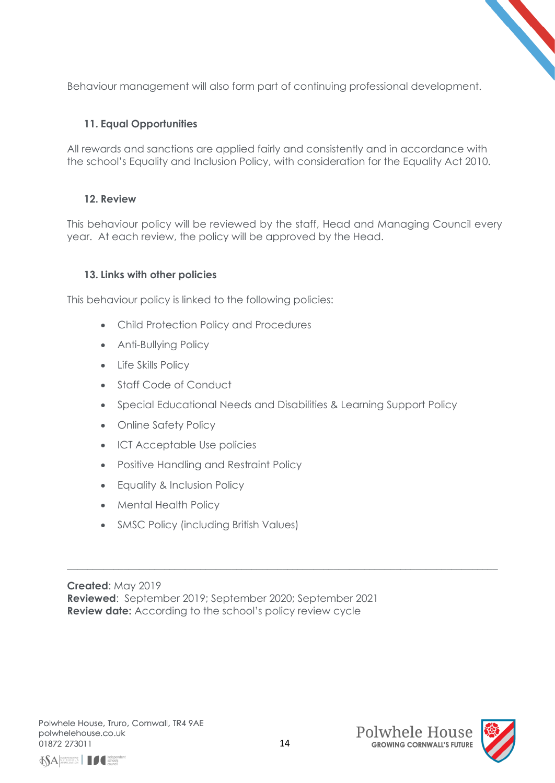Behaviour management will also form part of continuing professional development.

# **11. Equal Opportunities**

All rewards and sanctions are applied fairly and consistently and in accordance with the school's Equality and Inclusion Policy, with consideration for the Equality Act 2010.

### **12. Review**

This behaviour policy will be reviewed by the staff, Head and Managing Council every year. At each review, the policy will be approved by the Head.

### **13. Links with other policies**

This behaviour policy is linked to the following policies:

- Child Protection Policy and Procedures
- Anti-Bullying Policy
- Life Skills Policy
- Staff Code of Conduct
- Special Educational Needs and Disabilities & Learning Support Policy

\_\_\_\_\_\_\_\_\_\_\_\_\_\_\_\_\_\_\_\_\_\_\_\_\_\_\_\_\_\_\_\_\_\_\_\_\_\_\_\_\_\_\_\_\_\_\_\_\_\_\_\_\_\_\_\_\_\_\_\_\_\_\_\_\_\_\_\_\_\_\_\_\_\_\_\_\_\_\_\_\_\_\_\_

- Online Safety Policy
- ICT Acceptable Use policies
- Positive Handling and Restraint Policy
- Equality & Inclusion Policy
- Mental Health Policy
- SMSC Policy (including British Values)

**Created**: May 2019 **Reviewed**: September 2019; September 2020; September 2021 **Review date:** According to the school's policy review cycle







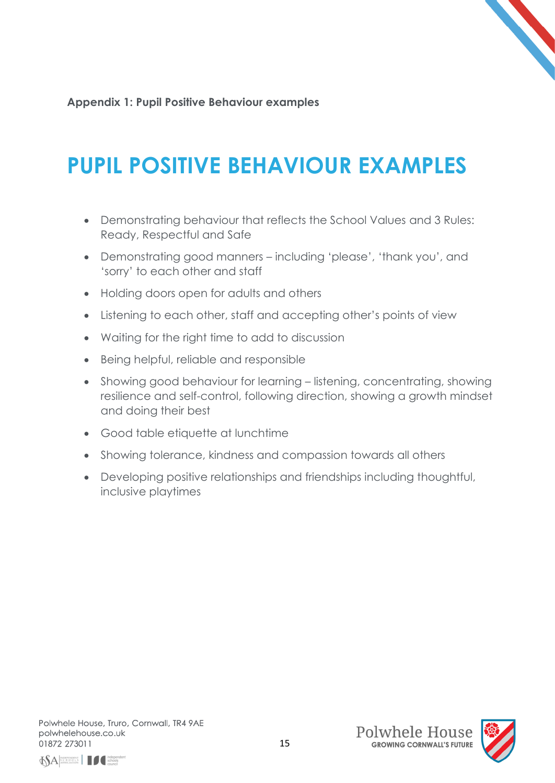**Appendix 1: Pupil Positive Behaviour examples**

# **PUPIL POSITIVE BEHAVIOUR EXAMPLES**

- Demonstrating behaviour that reflects the School Values and 3 Rules: Ready, Respectful and Safe
- Demonstrating good manners including 'please', 'thank you', and 'sorry' to each other and staff
- Holding doors open for adults and others
- Listening to each other, staff and accepting other's points of view
- Waiting for the right time to add to discussion
- Being helpful, reliable and responsible
- Showing good behaviour for learning listening, concentrating, showing resilience and self-control, following direction, showing a growth mindset and doing their best
- Good table etiquette at lunchtime
- Showing tolerance, kindness and compassion towards all others
- Developing positive relationships and friendships including thoughtful, inclusive playtimes

Polwhele House, Truro, Cornwall, TR4 9AE polwhelehouse.co.uk 01872 273011





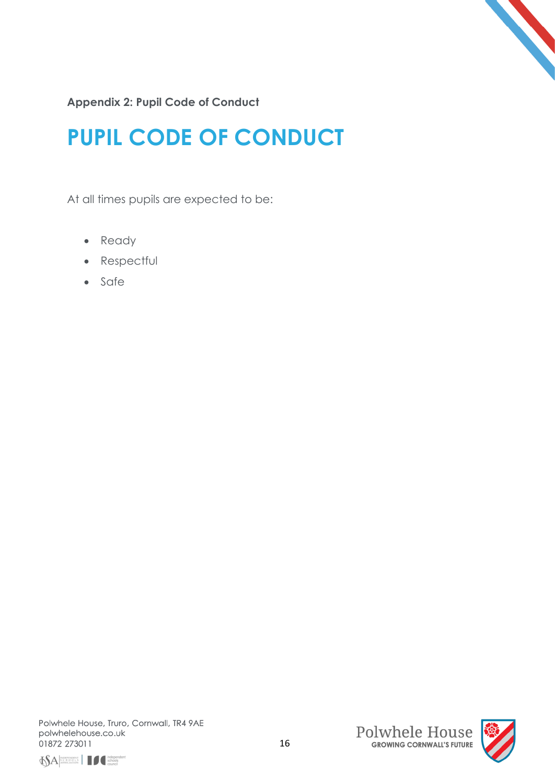

**Appendix 2: Pupil Code of Conduct**

# **PUPIL CODE OF CONDUCT**

At all times pupils are expected to be:

- Ready
- Respectful
- Safe





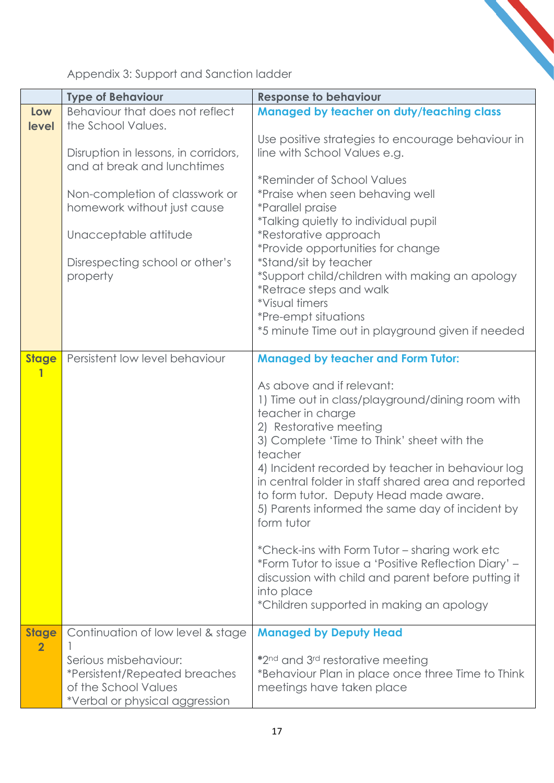Appendix 3: Support and Sanction ladder

|                                | <b>Type of Behaviour</b>                                            | <b>Response to behaviour</b>                                                                  |
|--------------------------------|---------------------------------------------------------------------|-----------------------------------------------------------------------------------------------|
| Low                            | Behaviour that does not reflect                                     | <b>Managed by teacher on duty/teaching class</b>                                              |
| level                          | the School Values.                                                  | Use positive strategies to encourage behaviour in                                             |
|                                | Disruption in lessons, in corridors,<br>and at break and lunchtimes | line with School Values e.g.                                                                  |
|                                |                                                                     | *Reminder of School Values                                                                    |
|                                | Non-completion of classwork or                                      | *Praise when seen behaving well                                                               |
|                                | homework without just cause                                         | <i>*Parallel praise</i>                                                                       |
|                                |                                                                     | *Talking quietly to individual pupil                                                          |
|                                | Unacceptable attitude                                               | *Restorative approach                                                                         |
|                                |                                                                     | *Provide opportunities for change                                                             |
|                                | Disrespecting school or other's                                     | *Stand/sit by teacher                                                                         |
|                                | property                                                            | *Support child/children with making an apology                                                |
|                                |                                                                     | *Retrace steps and walk                                                                       |
|                                |                                                                     | *Visual timers                                                                                |
|                                |                                                                     | *Pre-empt situations<br>*5 minute Time out in playground given if needed                      |
|                                |                                                                     |                                                                                               |
| <b>Stage</b>                   | Persistent low level behaviour                                      | <b>Managed by teacher and Form Tutor:</b>                                                     |
| 1                              |                                                                     |                                                                                               |
|                                |                                                                     | As above and if relevant:                                                                     |
|                                |                                                                     | 1) Time out in class/playground/dining room with                                              |
|                                |                                                                     | teacher in charge                                                                             |
|                                |                                                                     | 2) Restorative meeting                                                                        |
|                                |                                                                     | 3) Complete 'Time to Think' sheet with the                                                    |
|                                |                                                                     | teacher                                                                                       |
|                                |                                                                     | 4) Incident recorded by teacher in behaviour log                                              |
|                                |                                                                     | in central folder in staff shared area and reported<br>to form tutor. Deputy Head made aware. |
|                                |                                                                     | 5) Parents informed the same day of incident by                                               |
|                                |                                                                     | form tutor                                                                                    |
|                                |                                                                     |                                                                                               |
|                                |                                                                     | *Check-ins with Form Tutor – sharing work etc                                                 |
|                                |                                                                     | *Form Tutor to issue a 'Positive Reflection Diary' –                                          |
|                                |                                                                     | discussion with child and parent before putting it                                            |
|                                |                                                                     | into place                                                                                    |
|                                |                                                                     | *Children supported in making an apology                                                      |
|                                |                                                                     |                                                                                               |
| <b>Stage</b><br>$\overline{2}$ | Continuation of low level & stage                                   | <b>Managed by Deputy Head</b>                                                                 |
|                                | Serious misbehaviour:                                               | *2 <sup>nd</sup> and 3 <sup>rd</sup> restorative meeting                                      |
|                                | <i><b>*Persistent/Repeated breaches</b></i>                         | *Behaviour Plan in place once three Time to Think                                             |
|                                | of the School Values                                                | meetings have taken place                                                                     |
|                                | *Verbal or physical aggression                                      |                                                                                               |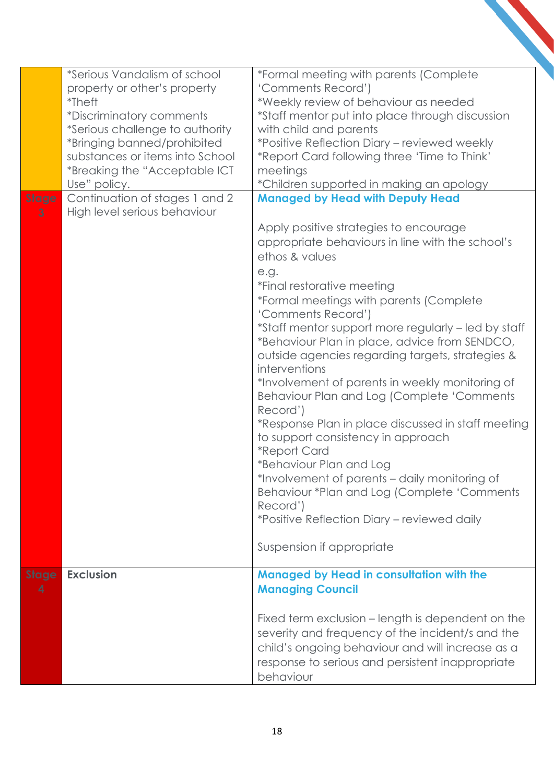| <b>Stage</b><br>3 | *Serious Vandalism of school<br>property or other's property<br><i>*</i> Theft<br>*Discriminatory comments<br>*Serious challenge to authority<br>*Bringing banned/prohibited<br>substances or items into School<br>*Breaking the "Acceptable ICT<br>Use" policy.<br>Continuation of stages 1 and 2<br>High level serious behaviour | *Formal meeting with parents (Complete<br>'Comments Record')<br>*Weekly review of behaviour as needed<br>*Staff mentor put into place through discussion<br>with child and parents<br>*Positive Reflection Diary - reviewed weekly<br>*Report Card following three 'Time to Think'<br>meetings<br>*Children supported in making an apology<br><b>Managed by Head with Deputy Head</b><br>Apply positive strategies to encourage<br>appropriate behaviours in line with the school's<br>ethos & values<br>e.g.<br>*Final restorative meeting<br>*Formal meetings with parents (Complete<br>'Comments Record')<br>*Staff mentor support more regularly - led by staff<br>*Behaviour Plan in place, advice from SENDCO,<br>outside agencies regarding targets, strategies &<br>interventions<br>*Involvement of parents in weekly monitoring of<br>Behaviour Plan and Log (Complete 'Comments<br>Record')<br>*Response Plan in place discussed in staff meeting<br>to support consistency in approach<br><i><b>*Report Card</b></i><br>*Behaviour Plan and Log<br>*Involvement of parents - daily monitoring of<br>Behaviour *Plan and Log (Complete 'Comments<br>Record')<br>*Positive Reflection Diary – reviewed daily |
|-------------------|------------------------------------------------------------------------------------------------------------------------------------------------------------------------------------------------------------------------------------------------------------------------------------------------------------------------------------|------------------------------------------------------------------------------------------------------------------------------------------------------------------------------------------------------------------------------------------------------------------------------------------------------------------------------------------------------------------------------------------------------------------------------------------------------------------------------------------------------------------------------------------------------------------------------------------------------------------------------------------------------------------------------------------------------------------------------------------------------------------------------------------------------------------------------------------------------------------------------------------------------------------------------------------------------------------------------------------------------------------------------------------------------------------------------------------------------------------------------------------------------------------------------------------------------------------------|
|                   |                                                                                                                                                                                                                                                                                                                                    | Suspension if appropriate                                                                                                                                                                                                                                                                                                                                                                                                                                                                                                                                                                                                                                                                                                                                                                                                                                                                                                                                                                                                                                                                                                                                                                                              |
| <b>Stage</b><br>4 | <b>Exclusion</b>                                                                                                                                                                                                                                                                                                                   | <b>Managed by Head in consultation with the</b><br><b>Managing Council</b><br>Fixed term exclusion – length is dependent on the<br>severity and frequency of the incident/s and the<br>child's ongoing behaviour and will increase as a<br>response to serious and persistent inappropriate                                                                                                                                                                                                                                                                                                                                                                                                                                                                                                                                                                                                                                                                                                                                                                                                                                                                                                                            |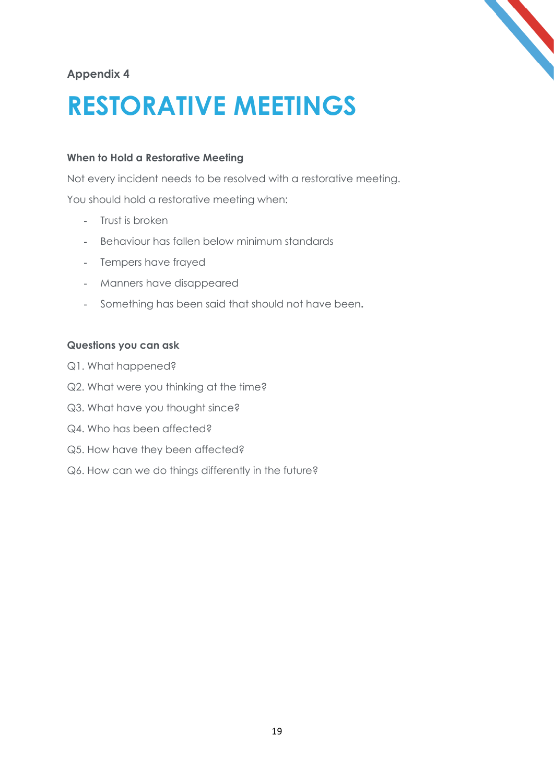

# **Appendix 4**

# **RESTORATIVE MEETINGS**

# **When to Hold a Restorative Meeting**

Not every incident needs to be resolved with a restorative meeting.

You should hold a restorative meeting when:

- Trust is broken
- Behaviour has fallen below minimum standards
- Tempers have frayed
- Manners have disappeared
- Something has been said that should not have been**.**

### **Questions you can ask**

- Q1. What happened?
- Q2. What were you thinking at the time?
- Q3. What have you thought since?
- Q4. Who has been affected?
- Q5. How have they been affected?
- Q6. How can we do things differently in the future?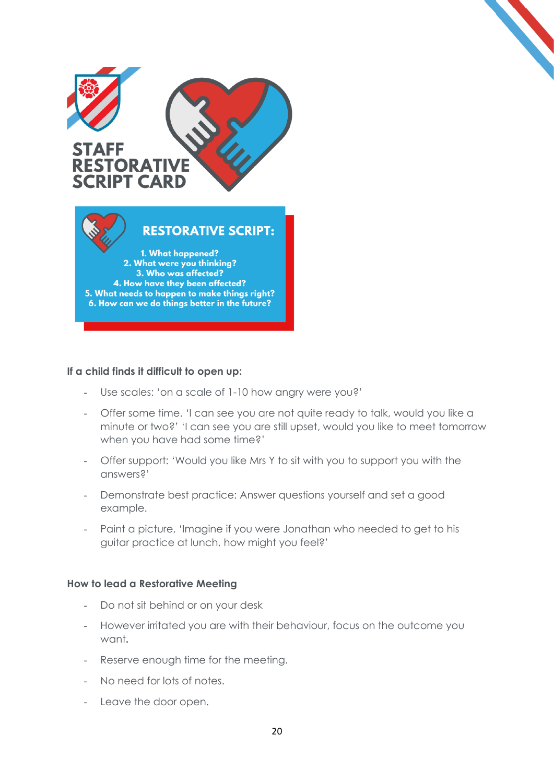

#### **If a child finds it difficult to open up:**

- Use scales: 'on a scale of 1-10 how angry were you?'
- Offer some time. 'I can see you are not quite ready to talk, would you like a minute or two?' 'I can see you are still upset, would you like to meet tomorrow when you have had some time?'
- Offer support: 'Would you like Mrs Y to sit with you to support you with the answers?'
- Demonstrate best practice: Answer questions yourself and set a good example.
- Paint a picture, 'Imagine if you were Jonathan who needed to get to his guitar practice at lunch, how might you feel?'

#### **How to lead a Restorative Meeting**

- Do not sit behind or on your desk
- However irritated you are with their behaviour, focus on the outcome you want**.**
- Reserve enough time for the meeting.
- No need for lots of notes.
- Leave the door open.